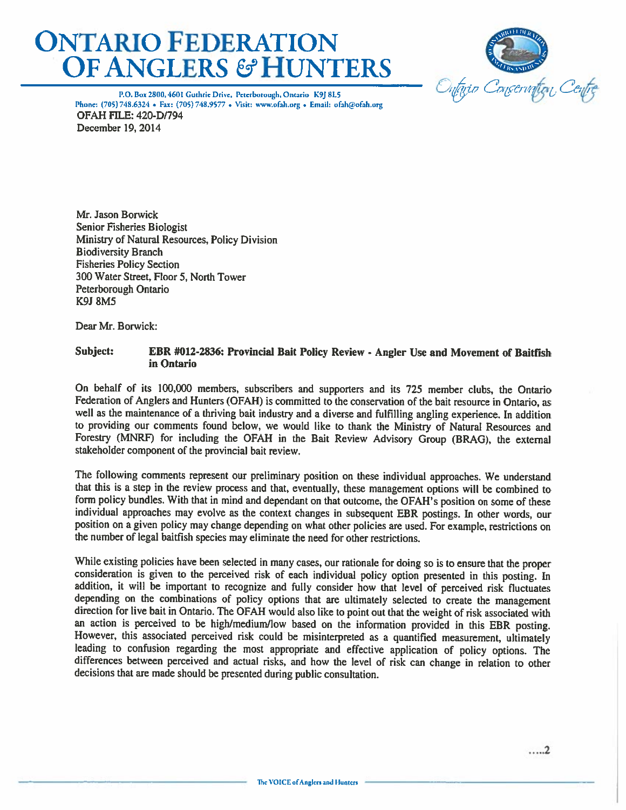# **ONTARIO FEDERATION OF ANGLERS & HUNTERS**



P.O. Box 2800, 4601 Guthrie Drive, Peterborough, Ontario K9J 8L5 Phone: (705) 748.6324 • Fax: (705) 748.9577 • Visit: www.ofah.org • Email: ofah@ofah.org **OFAH FILE: 420-D/794** December 19, 2014

Mr. Jason Borwick **Senior Fisheries Biologist** Ministry of Natural Resources, Policy Division **Biodiversity Branch Fisheries Policy Section** 300 Water Street, Floor 5, North Tower Peterborough Ontario **K9J 8M5** 

Dear Mr. Borwick:

#### Subject: EBR #012-2836: Provincial Bait Policy Review - Angler Use and Movement of Baitfish in Ontario

On behalf of its 100,000 members, subscribers and supporters and its 725 member clubs, the Ontario Federation of Anglers and Hunters (OFAH) is committed to the conservation of the bait resource in Ontario, as well as the maintenance of a thriving bait industry and a diverse and fulfilling angling experience. In addition to providing our comments found below, we would like to thank the Ministry of Natural Resources and Forestry (MNRF) for including the OFAH in the Bait Review Advisory Group (BRAG), the external stakeholder component of the provincial bait review.

The following comments represent our preliminary position on these individual approaches. We understand that this is a step in the review process and that, eventually, these management options will be combined to form policy bundles. With that in mind and dependant on that outcome, the OFAH's position on some of these individual approaches may evolve as the context changes in subsequent EBR postings. In other words, our position on a given policy may change depending on what other policies are used. For example, restrictions on the number of legal baitfish species may eliminate the need for other restrictions.

While existing policies have been selected in many cases, our rationale for doing so is to ensure that the proper consideration is given to the perceived risk of each individual policy option presented in this posting. In addition, it will be important to recognize and fully consider how that level of perceived risk fluctuates depending on the combinations of policy options that are ultimately selected to create the management direction for live bait in Ontario. The OFAH would also like to point out that the weight of risk associated with an action is perceived to be high/medium/low based on the information provided in this EBR posting. However, this associated perceived risk could be misinterpreted as a quantified measurement, ultimately leading to confusion regarding the most appropriate and effective application of policy options. The differences between perceived and actual risks, and how the level of risk can change in relation to other decisions that are made should be presented during public consultation.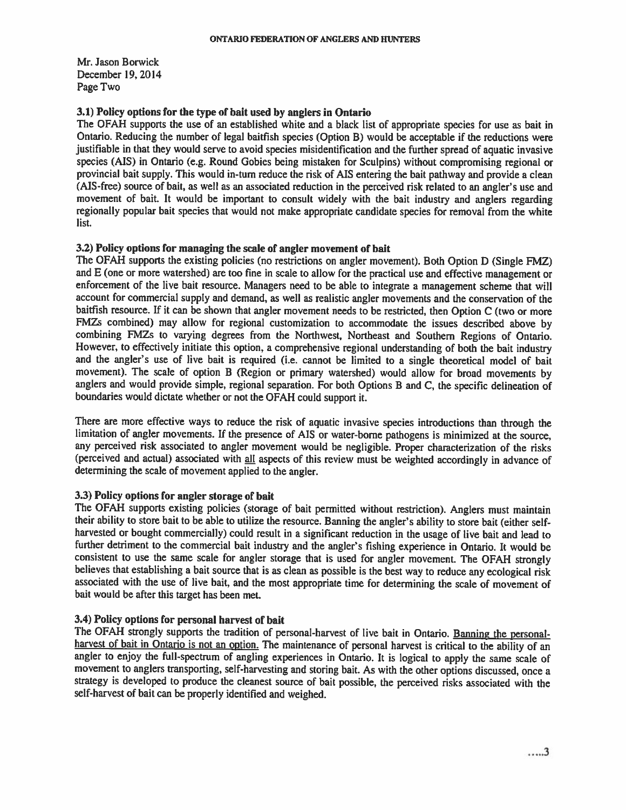Mr. Jason Borwick December 19, 2014 Page Two

# 3.1) Policy options for the type of bait used by anglers in Ontario

The OFAH supports the use of an established white and a black list of appropriate species for use as bait in Ontario. Reducing the number of legal baitfish species (Option B) would be acceptable if the reductions were justifiable in that they would serve to avoid species misidentification and the further spread of aquatic invasive species (AIS) in Ontario (e.g. Round Gobies being mistaken for Sculpins) without compromising regional or provincial bait supply. This would in-turn reduce the risk of AIS entering the bait pathway and provide a clean (AIS-free) source of bait, as well as an associated reduction in the perceived risk related to an angler's use and movement of bait. It would be important to consult widely with the bait industry and anglers regarding regionally popular bait species that would not make appropriate candidate species for removal from the white list.

# 3.2) Policy options for managing the scale of angler movement of bait

The OFAH supports the existing policies (no restrictions on angler movement). Both Option D (Single FMZ) and E (one or more watershed) are too fine in scale to allow for the practical use and effective management or enforcement of the live bait resource. Managers need to be able to integrate a management scheme that will account for commercial supply and demand, as well as realistic angler movements and the conservation of the baitfish resource. If it can be shown that angler movement needs to be restricted, then Option C (two or more FMZs combined) may allow for regional customization to accommodate the issues described above by combining FMZs to varying degrees from the Northwest, Northeast and Southern Regions of Ontario. However, to effectively initiate this option, a comprehensive regional understanding of both the bait industry and the angler's use of live bait is required (i.e. cannot be limited to a single theoretical model of bait movement). The scale of option B (Region or primary watershed) would allow for broad movements by anglers and would provide simple, regional separation. For both Options B and C, the specific delineation of boundaries would dictate whether or not the OFAH could support it.

There are more effective ways to reduce the risk of aquatic invasive species introductions than through the limitation of angler movements. If the presence of AIS or water-borne pathogens is minimized at the source, any perceived risk associated to angler movement would be negligible. Proper characterization of the risks (perceived and actual) associated with all aspects of this review must be weighted accordingly in advance of determining the scale of movement applied to the angler.

# 3.3) Policy options for angler storage of bait

The OFAH supports existing policies (storage of bait permitted without restriction). Anglers must maintain their ability to store bait to be able to utilize the resource. Banning the angler's ability to store bait (either selfharvested or bought commercially) could result in a significant reduction in the usage of live bait and lead to further detriment to the commercial bait industry and the angler's fishing experience in Ontario. It would be consistent to use the same scale for angler storage that is used for angler movement. The OFAH strongly believes that establishing a bait source that is as clean as possible is the best way to reduce any ecological risk associated with the use of live bait, and the most appropriate time for determining the scale of movement of bait would be after this target has been met.

# 3.4) Policy options for personal harvest of bait

The OFAH strongly supports the tradition of personal-harvest of live bait in Ontario. Banning the personalharvest of bait in Ontario is not an option. The maintenance of personal harvest is critical to the ability of an angler to enjoy the full-spectrum of angling experiences in Ontario. It is logical to apply the same scale of movement to anglers transporting, self-harvesting and storing bait. As with the other options discussed, once a strategy is developed to produce the cleanest source of bait possible, the perceived risks associated with the self-harvest of bait can be properly identified and weighed.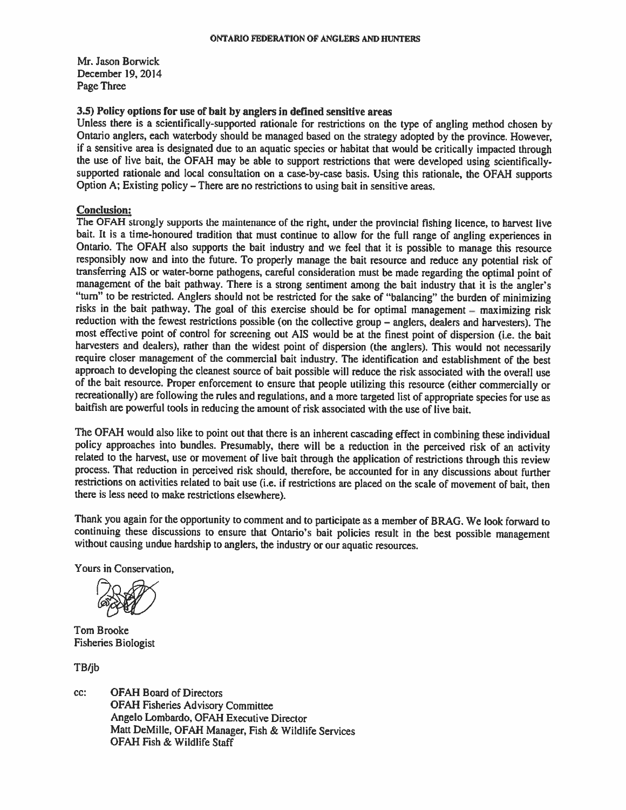Mr. Jason Borwick December 19, 2014 Page Three

# 3.5) Policy options for use of bait by anglers in defined sensitive areas

Unless there is a scientifically-supported rationale for restrictions on the type of angling method chosen by Ontario anglers, each waterbody should be managed based on the strategy adopted by the province. However, if a sensitive area is designated due to an aquatic species or habitat that would be critically impacted through the use of live bait, the OFAH may be able to support restrictions that were developed using scientificallysupported rationale and local consultation on a case-by-case basis. Using this rationale, the OFAH supports Option A; Existing policy – There are no restrictions to using bait in sensitive areas.

# **Conclusion:**

The OFAH strongly supports the maintenance of the right, under the provincial fishing licence, to harvest live bait. It is a time-honoured tradition that must continue to allow for the full range of angling experiences in Ontario. The OFAH also supports the bait industry and we feel that it is possible to manage this resource responsibly now and into the future. To properly manage the bait resource and reduce any potential risk of transferring AIS or water-borne pathogens, careful consideration must be made regarding the optimal point of management of the bait pathway. There is a strong sentiment among the bait industry that it is the angler's "turn" to be restricted. Anglers should not be restricted for the sake of "balancing" the burden of minimizing risks in the bait pathway. The goal of this exercise should be for optimal management – maximizing risk reduction with the fewest restrictions possible (on the collective group – anglers, dealers and harvesters). The most effective point of control for screening out AIS would be at the finest point of dispersion (i.e. the bait harvesters and dealers), rather than the widest point of dispersion (the anglers). This would not necessarily require closer management of the commercial bait industry. The identification and establishment of the best approach to developing the cleanest source of bait possible will reduce the risk associated with the overall use of the bait resource. Proper enforcement to ensure that people utilizing this resource (either commercially or recreationally) are following the rules and regulations, and a more targeted list of appropriate species for use as baitfish are powerful tools in reducing the amount of risk associated with the use of live bait.

The OFAH would also like to point out that there is an inherent cascading effect in combining these individual policy approaches into bundles. Presumably, there will be a reduction in the perceived risk of an activity related to the harvest, use or movement of live bait through the application of restrictions through this review process. That reduction in perceived risk should, therefore, be accounted for in any discussions about further restrictions on activities related to bait use (i.e. if restrictions are placed on the scale of movement of bait, then there is less need to make restrictions elsewhere).

Thank you again for the opportunity to comment and to participate as a member of BRAG. We look forward to continuing these discussions to ensure that Ontario's bait policies result in the best possible management without causing undue hardship to anglers, the industry or our aquatic resources.

Yours in Conservation,

Tom Brooke **Fisheries Biologist** 

TB/jb

**OFAH Board of Directors** CC: **OFAH Fisheries Advisory Committee** Angelo Lombardo, OFAH Executive Director Matt DeMille, OFAH Manager, Fish & Wildlife Services **OFAH Fish & Wildlife Staff**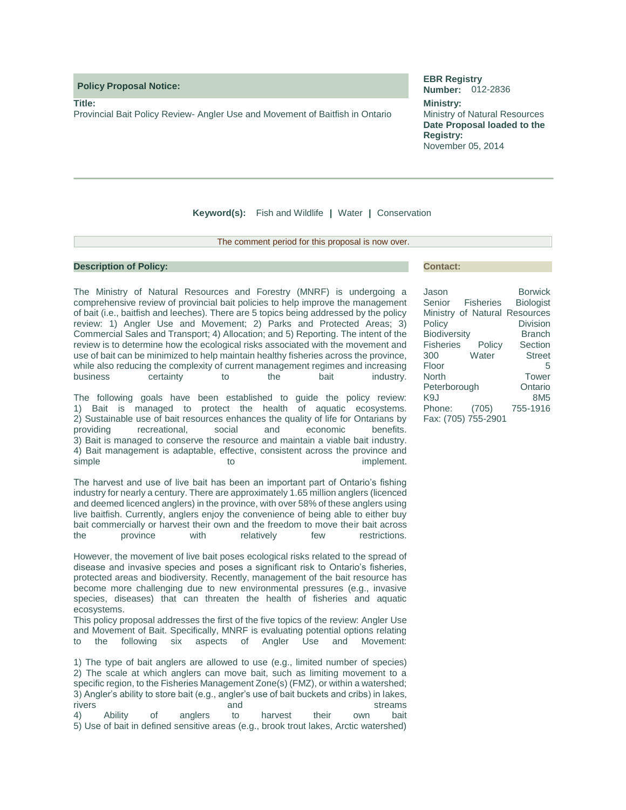**Policy Proposal Notice:** 

**Title:**

Provincial Bait Policy Review- Angler Use and Movement of Baitfish in Ontario

#### **EBR Registry Number:** 012-2836

**Ministry:** Ministry of Natural Resources **Date Proposal loaded to the Registry:** November 05, 2014

**Keyword(s):** Fish and Wildlife **|** Water **|** Conservation

The comment period for this proposal is now over.

#### **Description of Policy:**

The Ministry of Natural Resources and Forestry (MNRF) is undergoing a comprehensive review of provincial bait policies to help improve the management of bait (i.e., baitfish and leeches). There are 5 topics being addressed by the policy review: 1) Angler Use and Movement; 2) Parks and Protected Areas; 3) Commercial Sales and Transport; 4) Allocation; and 5) Reporting. The intent of the review is to determine how the ecological risks associated with the movement and use of bait can be minimized to help maintain healthy fisheries across the province, while also reducing the complexity of current management regimes and increasing business certainty to the bait industry.

The following goals have been established to guide the policy review: 1) Bait is managed to protect the health of aquatic ecosystems. 2) Sustainable use of bait resources enhances the quality of life for Ontarians by providing recreational, social and economic benefits. 3) Bait is managed to conserve the resource and maintain a viable bait industry. 4) Bait management is adaptable, effective, consistent across the province and simple to the to implement.

The harvest and use of live bait has been an important part of Ontario's fishing industry for nearly a century. There are approximately 1.65 million anglers (licenced and deemed licenced anglers) in the province, with over 58% of these anglers using live baitfish. Currently, anglers enjoy the convenience of being able to either buy bait commercially or harvest their own and the freedom to move their bait across the province with relatively few restrictions.

However, the movement of live bait poses ecological risks related to the spread of disease and invasive species and poses a significant risk to Ontario's fisheries, protected areas and biodiversity. Recently, management of the bait resource has become more challenging due to new environmental pressures (e.g., invasive species, diseases) that can threaten the health of fisheries and aquatic ecosystems.

This policy proposal addresses the first of the five topics of the review: Angler Use and Movement of Bait. Specifically, MNRF is evaluating potential options relating to the following six aspects of Angler Use and Movement:

1) The type of bait anglers are allowed to use (e.g., limited number of species) 2) The scale at which anglers can move bait, such as limiting movement to a specific region, to the Fisheries Management Zone(s) (FMZ), or within a watershed; 3) Angler's ability to store bait (e.g., angler's use of bait buckets and cribs) in lakes, rivers and streams and streams and streams and streams of  $\sim$ 4) Ability of anglers to harvest their own bait 5) Use of bait in defined sensitive areas (e.g., brook trout lakes, Arctic watershed)

#### **Contact:**

| Jason               |        | <b>Borwick</b>                |
|---------------------|--------|-------------------------------|
| Senior Fisheries    |        | <b>Biologist</b>              |
|                     |        | Ministry of Natural Resources |
| Policy              |        | Division                      |
| <b>Biodiversity</b> |        | <b>Branch</b>                 |
| <b>Fisheries</b>    | Policy | Section                       |
| 300                 | Water  | <b>Street</b>                 |
| Floor               |        | 5                             |
| North               |        | Tower                         |
| Peterborough        |        | Ontario                       |
| K9J                 |        | 8M <sub>5</sub>               |
| Phone:              | (705)  | 755-1916                      |
| Fax: (705) 755-2901 |        |                               |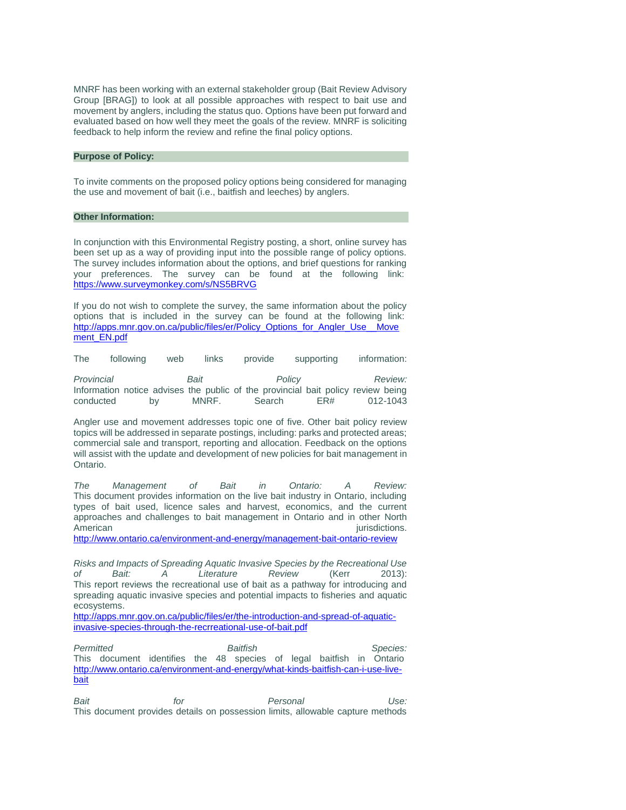MNRF has been working with an external stakeholder group (Bait Review Advisory Group [BRAG]) to look at all possible approaches with respect to bait use and movement by anglers, including the status quo. Options have been put forward and evaluated based on how well they meet the goals of the review. MNRF is soliciting feedback to help inform the review and refine the final policy options.

#### **Purpose of Policy:**

To invite comments on the proposed policy options being considered for managing the use and movement of bait (i.e., baitfish and leeches) by anglers.

#### **Other Information:**

In conjunction with this Environmental Registry posting, a short, online survey has been set up as a way of providing input into the possible range of policy options. The survey includes information about the options, and brief questions for ranking your preferences. The survey can be found at the following link: <https://www.surveymonkey.com/s/NS5BRVG>

If you do not wish to complete the survey, the same information about the policy options that is included in the survey can be found at the following link: [http://apps.mnr.gov.on.ca/public/files/er/Policy\\_Options\\_for\\_Angler\\_Use\\_\\_Move](http://apps.mnr.gov.on.ca/public/files/er/Policy_Options_for_Angler_Use__Movement_EN.pdf) [ment\\_EN.pdf](http://apps.mnr.gov.on.ca/public/files/er/Policy_Options_for_Angler_Use__Movement_EN.pdf) 

The following web links provide supporting information:

*Provincial Bait Policy Review:* Information notice advises the public of the provincial bait policy review being conducted by MNRF. Search ER# 012-1043

Angler use and movement addresses topic one of five. Other bait policy review topics will be addressed in separate postings, including: parks and protected areas; commercial sale and transport, reporting and allocation. Feedback on the options will assist with the update and development of new policies for bait management in Ontario.

*The Management of Bait in Ontario: A Review:*  This document provides information on the live bait industry in Ontario, including types of bait used, licence sales and harvest, economics, and the current approaches and challenges to bait management in Ontario and in other North American interventions.

<http://www.ontario.ca/environment-and-energy/management-bait-ontario-review>

*Risks and Impacts of Spreading Aquatic Invasive Species by the Recreational Use of Bait: A Literature Review* (Kerr 2013): This report reviews the recreational use of bait as a pathway for introducing and spreading aquatic invasive species and potential impacts to fisheries and aquatic ecosystems.

[http://apps.mnr.gov.on.ca/public/files/er/the-introduction-and-spread-of-aquatic](http://apps.mnr.gov.on.ca/public/files/er/the-introduction-and-spread-of-aquatic-invasive-species-through-the-recrreational-use-of-bait.pdf)[invasive-species-through-the-recrreational-use-of-bait.pdf](http://apps.mnr.gov.on.ca/public/files/er/the-introduction-and-spread-of-aquatic-invasive-species-through-the-recrreational-use-of-bait.pdf) 

*Permitted Baitfish Species:*  This document identifies the 48 species of legal baitfish in Ontario [http://www.ontario.ca/environment-and-energy/what-kinds-baitfish-can-i-use-live](http://www.ontario.ca/environment-and-energy/what-kinds-baitfish-can-i-use-live-bait)[bait](http://www.ontario.ca/environment-and-energy/what-kinds-baitfish-can-i-use-live-bait) 

*Bait for Personal Use:*  This document provides details on possession limits, allowable capture methods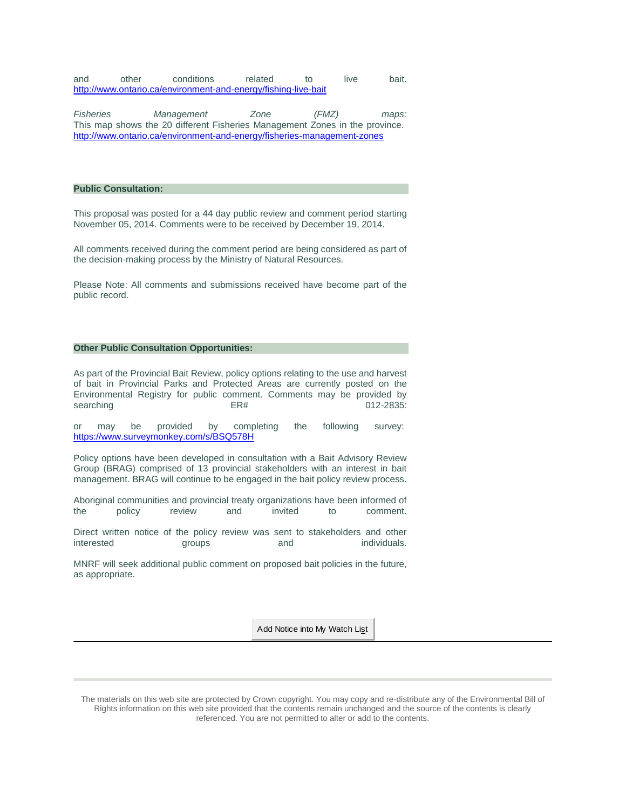and other conditions related to live bait. <http://www.ontario.ca/environment-and-energy/fishing-live-bait>

*Fisheries Management Zone (FMZ) maps:*  This map shows the 20 different Fisheries Management Zones in the province. <http://www.ontario.ca/environment-and-energy/fisheries-management-zones>

#### **Public Consultation:**

This proposal was posted for a 44 day public review and comment period starting November 05, 2014. Comments were to be received by December 19, 2014.

All comments received during the comment period are being considered as part of the decision-making process by the Ministry of Natural Resources.

Please Note: All comments and submissions received have become part of the public record.

#### **Other Public Consultation Opportunities:**

As part of the Provincial Bait Review, policy options relating to the use and harvest of bait in Provincial Parks and Protected Areas are currently posted on the Environmental Registry for public comment. Comments may be provided by searching ER# 012-2835:

or may be provided by completing the following survey: <https://www.surveymonkey.com/s/BSQ578H>

Policy options have been developed in consultation with a Bait Advisory Review Group (BRAG) comprised of 13 provincial stakeholders with an interest in bait management. BRAG will continue to be engaged in the bait policy review process.

Aboriginal communities and provincial treaty organizations have been informed of the policy review and invited to comment.

Direct written notice of the policy review was sent to stakeholders and other interested **groups** and individuals.

MNRF will seek additional public comment on proposed bait policies in the future, as appropriate.

Add Notice into My Watch List

The materials on this web site are protected by Crown copyright. You may copy and re-distribute any of the Environmental Bill of Rights information on this web site provided that the contents remain unchanged and the source of the contents is clearly referenced. You are not permitted to alter or add to the contents.